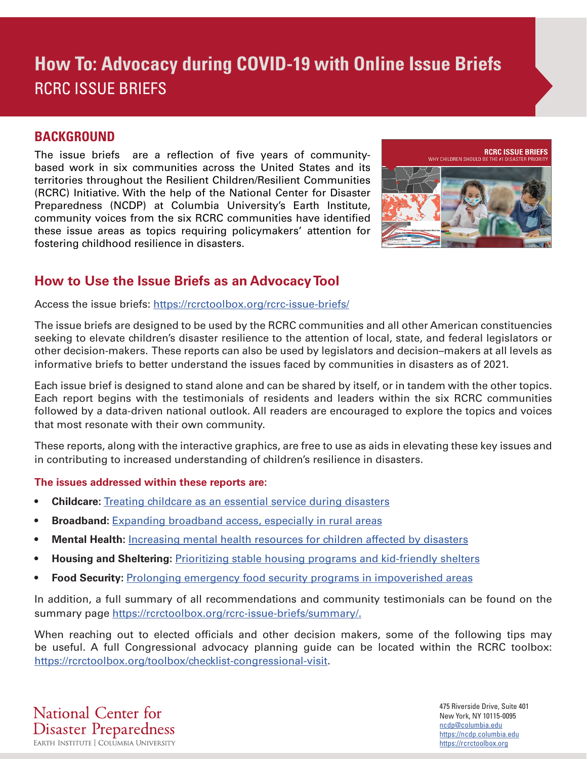### **BACKGROUND**

The issue briefs are a reflection of five years of communitybased work in six communities across the United States and its territories throughout the Resilient Children/Resilient Communities (RCRC) Initiative. With the help of the National Center for Disaster Preparedness (NCDP) at Columbia University's Earth Institute, community voices from the six RCRC communities have identified these issue areas as topics requiring policymakers' attention for fostering childhood resilience in disasters.



## **How to Use the Issue Briefs as an Advocacy Tool**

Access the issue briefs: https://rcrctoolbox.org/rcrc-issue-briefs/

The issue briefs are designed to be used by the RCRC communities and all other American constituencies seeking to elevate children's disaster resilience to the attention of local, state, and federal legislators or other decision-makers. These reports can also be used by legislators and decision–makers at all levels as informative briefs to better understand the issues faced by communities in disasters as of 2021.

Each issue brief is designed to stand alone and can be shared by itself, or in tandem with the other topics. Each report begins with the testimonials of residents and leaders within the six RCRC communities followed by a data-driven national outlook. All readers are encouraged to explore the topics and voices that most resonate with their own community.

These reports, along with the interactive graphics, are free to use as aids in elevating these key issues and in contributing to increased understanding of children's resilience in disasters.

### **The issues addressed within these reports are:**

- **Childcare:** [Treating childcare as an essential service during disasters](https://rcrctoolbox.org/rcrc-issue-briefs/childcare-in-disasters/)
- **• Broadband:** [Expanding broadband access, especially in rural areas](https://rcrctoolbox.org/rcrc-issue-briefs/broadband-in-education/)
- **• Mental Health:** [Increasing mental health resources for children affected by disasters](https://rcrctoolbox.org/rcrc-issue-briefs/mental-health-and-well-being/)
- **• Housing and Sheltering:** [Prioritizing stable housing programs and kid-friendly shelters](https://rcrctoolbox.org/rcrc-issue-briefs/emergency-shelters-and-housing-security/)
- **• Food Security:** [Prolonging emergency food security programs in impoverished areas](https://rcrctoolbox.org/rcrc-issue-briefs/food-security-and-poverty/)

In addition, a full summary of all recommendations and community testimonials can be found on the summary page https://rcrctoolbox.org/rcrc-issue-briefs/summary/.

When reaching out to elected officials and other decision makers, some of the following tips may be useful. A full Congressional advocacy planning guide can be located within the RCRC toolbox: https://rcrctoolbox.org/toolbox/checklist-congressional-visit.

National Center for **Disaster Preparedness** 

475 Riverside Drive, Suite 401 New York, NY 10115-0095 ncdp@columbia.edu https://ncdp.columbia.edu https://rcrctoolbox.org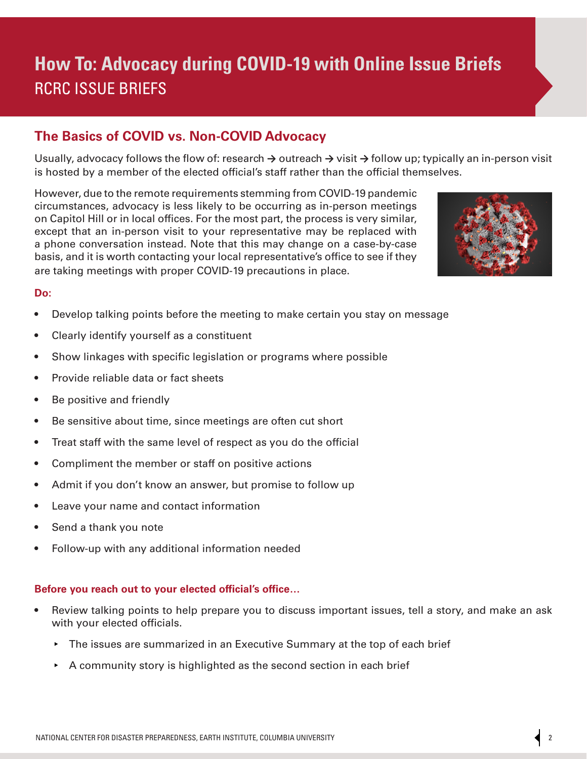### **The Basics of COVID vs. Non-COVID Advocacy**

Usually, advocacy follows the flow of: research **→** outreach **→** visit **→** follow up; typically an in-person visit is hosted by a member of the elected official's staff rather than the official themselves.

However, due to the remote requirements stemming from COVID-19 pandemic circumstances, advocacy is less likely to be occurring as in-person meetings on Capitol Hill or in local offices. For the most part, the process is very similar, except that an in-person visit to your representative may be replaced with a phone conversation instead. Note that this may change on a case-by-case basis, and it is worth contacting your local representative's office to see if they are taking meetings with proper COVID-19 precautions in place.



### **Do:**

- Develop talking points before the meeting to make certain you stay on message
- Clearly identify yourself as a constituent
- Show linkages with specific legislation or programs where possible
- Provide reliable data or fact sheets
- Be positive and friendly
- Be sensitive about time, since meetings are often cut short
- Treat staff with the same level of respect as you do the official
- Compliment the member or staff on positive actions
- Admit if you don't know an answer, but promise to follow up
- Leave your name and contact information
- Send a thank you note
- Follow-up with any additional information needed

#### **Before you reach out to your elected official's office…**

- Review talking points to help prepare you to discuss important issues, tell a story, and make an ask with your elected officials.
	- ▸ The issues are summarized in an Executive Summary at the top of each brief
	- $\rightarrow$  A community story is highlighted as the second section in each brief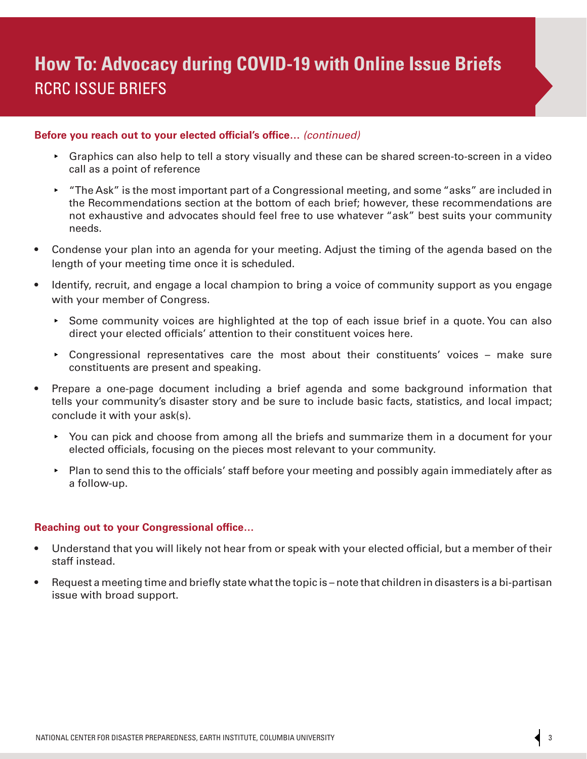#### **Before you reach out to your elected official's office…** *(continued)*

- ▸ Graphics can also help to tell a story visually and these can be shared screen-to-screen in a video call as a point of reference
- ▸ "The Ask" is the most important part of a Congressional meeting, and some "asks" are included in the Recommendations section at the bottom of each brief; however, these recommendations are not exhaustive and advocates should feel free to use whatever "ask" best suits your community needs.
- Condense your plan into an agenda for your meeting. Adjust the timing of the agenda based on the length of your meeting time once it is scheduled.
- Identify, recruit, and engage a local champion to bring a voice of community support as you engage with your member of Congress.
	- ▸ Some community voices are highlighted at the top of each issue brief in a quote. You can also direct your elected officials' attention to their constituent voices here.
	- ▸ Congressional representatives care the most about their constituents' voices make sure constituents are present and speaking.
- Prepare a one-page document including a brief agenda and some background information that tells your community's disaster story and be sure to include basic facts, statistics, and local impact; conclude it with your ask(s).
	- ▸ You can pick and choose from among all the briefs and summarize them in a document for your elected officials, focusing on the pieces most relevant to your community.
	- ▸ Plan to send this to the officials' staff before your meeting and possibly again immediately after as a follow-up.

#### **Reaching out to your Congressional office…**

- Understand that you will likely not hear from or speak with your elected official, but a member of their staff instead.
- Request a meeting time and briefly state what the topic is note that children in disasters is a bi-partisan issue with broad support.